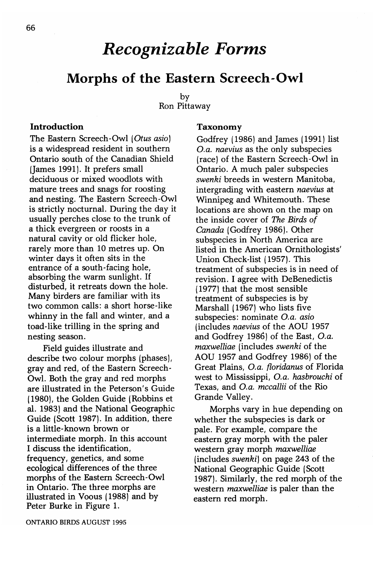# *Recognizable Forms*

# Morphs of the Eastern Screech-Owl

by Ron Pittaway

#### Introduction

The Eastern Screech-Owl *(Otus asio)* is a widespread resident in southern Ontario south of the Canadian Shield (James 1991). It prefers small deciduous or mixed woodlots with mature trees and snags for roosting and nesting. The Eastern Screech-Owl is strictly nocturnal. During the day it usually perches close to the trunk of a thick evergreen or roosts in a natural cavity or old flicker hole, rarely more than 10 metres up. On winter days it often sits in the entrance of a south-facing hole, absorbing the warm sunlight. If disturbed, it retreats down the hole. Many birders are familiar with its two common calls: a short horse-like whinny in the fall and winter, and a toad-like trilling in the spring and nesting season.

Field guides illustrate and describe two colour morphs (phases), gray and red, of the Eastern Screech-Owl. Both the gray and red morphs are illustrated in the Peterson's Guide (1980), the Golden Guide (Robbins et al. 1983) and the National Geographic Guide (Scott 1987). In addition, there is a little-known brown or intermediate morph. In this account I discuss the identification, frequency, genetics, and some ecological differences of the three morphs of the Eastern Screech-Owl in Ontario. The three morphs are illustrated in Voous (1988) and by Peter Burke in Figure 1.

### Taxonomy

Godfrey (1986) and James (1991) list *O.a. naevius* as the only subspecies (race) of the Eastern Screech-Owl in Ontario. A much paler subspecies *swenki* breeds in western Manitoba, intergrading with eastern *naevius* at Winnipeg and Whitemouth. These locations are shown on the map on the inside cover of *The Birds of Canada* (Godfrey 1986). Other subspecies in North America are listed in the American Ornithologists' Union Check-list (1957). This treatment of subspecies is in need of revision. I agree with DeBenedictis (1977) that the most sensible treatment of subspecies is by Marshall (1967) who lists five subspecies: nominate *O.a. asio* (includes *naevius* of the AOO 1957 and Godfrey 1986) of the East, *O.a. maxwelliae* (includes *swenki* of the AOU 1957 and Godfrey 1986) of the Great Plains, O.a. *floridanus* of Florida west to Mississippi, *O.a. hasbrouchi* of Texas, and *O.a. mccallii* of the Rio Grande Valley.

Morphs vary in hue depending on whether the subspecies is dark or pale. For example, compare the eastern gray morph with the paler western gray morph *maxwelliae* (includes *swenki)* on page 243 of the National Geographic Guide (Scott 1987). Similarly, the red morph of the western *maxwelliae* is paler than the eastern red morph.

ONTARIO BIRDS AUGUST 1995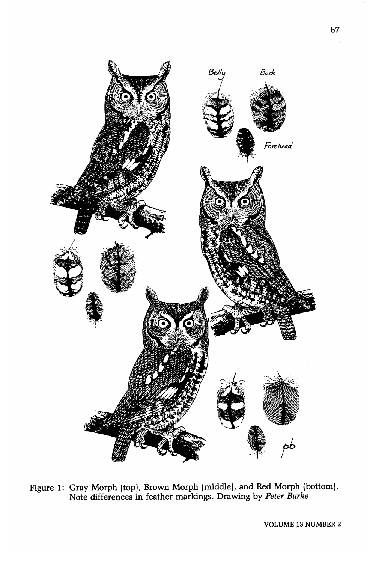

Figure 1: Gray Morph (top), Brown Morph (middle), and Red Morph (bottom). Note differences in feather markings. Drawing by *Peter Burke.*

VOLUME 13 NUMBER 2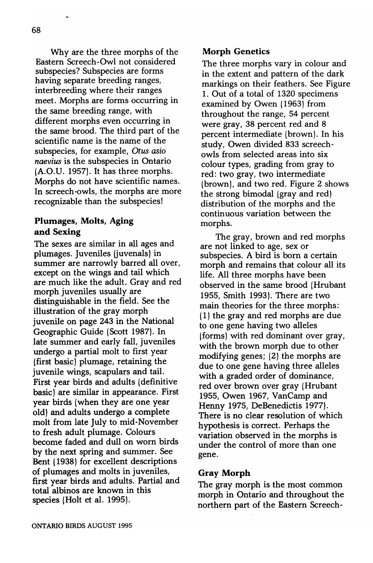Why are the three morphs of the Eastern Screech-Owl not considered subspecies? Subspecies are forms having separate breeding ranges, interbreeding where their ranges meet. Morphs are forms occurring in the same breeding range, with different morphs even occurring in the same brood. The third part of the scientific name is the name of the subspecies, for example, *Otus asio naevius* is the subspecies in Ontario (A.O.V. 1957). It has three morphs. Morphs do not have scientific names. In screech-owls, the morphs are more recognizable than the subspecies!

# Plumages, Molts, Aging and Sexing

The sexes are similar in all ages and plumages. Juveniles (juvenals) in summer are narrowly barred all over, except on the wings and tail which are much like the adult. Gray and red morph juveniles usually are distinguishable in the field. See the illustration of the gray morph juvenile on page 243 in the National Geographic Guide (Scott 1987). In late summer and early fall, juveniles undergo a partial molt to first year (first basic) plumage, retaining the juvenile wings, scapulars and tail. First year birds and adults (definitive basic) are similar in appearance. First year birds (when they are one year old) and adults undergo a complete molt from late July to mid-November to fresh adult plumage. Colours become faded and dull on worn birds by the next spring and summer. See Bent (1938) for excellent descriptions of plumages and molts in juveniles, first year birds and adults. Partial and total' albinos are known in this species (Holt et al. 1995).

## Morph Genetics

The three morphs vary in colour and in the extent and pattern of the dark markings on their feathers. See Figure 1. Out of a total of 1320 specimens examined by Owen (1963) from throughout the range, 54 percent were gray, 38 percent red and 8 percent intermediate (brown). In his study, Owen divided 833 screechowls from selected areas into six colour types, grading from gray to red: two gray, two intermediate (brown), and two red. Figure 2 shows the strong bimodal (gray and red) distribution of the morphs and the continuous variation between the morphs.

The gray, brown and red morphs are not linked to age, sex or subspecies. A bird is born a certain. morph and remains that colour all its life. All three morphs have been observed in the same brood (Hrubant 1955, Smith 1993). There are two main theories for the three morphs: (1) the gray and red morphs are due to one gene having two alleles (forms) with red dominant over gray, with the brown morph due to other modifying genes; (2) the morphs are due to one gene having three alleles with a graded order of dominance, red over brown over gray (Hrubant 1955, Owen 1967, VanCamp and Henny 1975, DeBenedictis 1977). There is no clear resolution of which hypothesis is correct. Perhaps the variation observed in the morphs is under the control of more than one gene.

### Gray Morph

The gray morph is the most common morph in Ontario. and throughout the northern part of the Eastern Screech-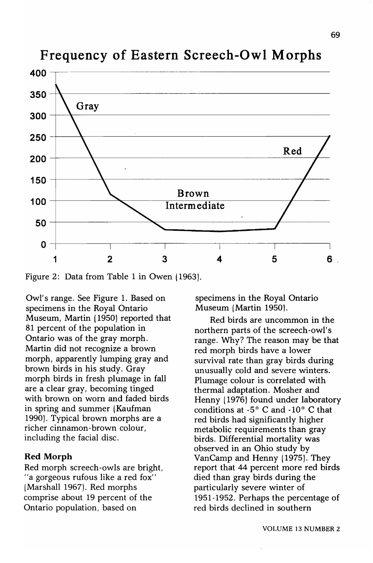

# **Frequency of Eastern Screech-Owl Morphs**

Figure 2: Data from Table 1 in Owen (1963).

Owl/s range. See Figure 1. Based on specimens in the Royal Ontario Museum, Martin (1950) reported that 81 percent of the population in Ontario was of the gray morph. Martin did not recognize a brown morph, apparently lumping gray and brown birds in his study. Gray morph birds in fresh plumage in fall are a clear gray, becoming tinged with brown on worn and faded birds in spring and summer (Kaufman 1990). Typical brown morphs are a richer cinnamon-brown colour, including the facial disc.

## **Red Morph**

Red morph screech-owls are bright, " a gorgeous rufous like a red fox" (Marshall 1967). Red morphs comprise about 19 percent of the Ontario population, based on

specimens in the Royal Ontario Museum (Martin 1950).

Red birds are uncommon in the northern parts of the screech-owl's range. Why? The reason may be that red morph birds have a lower survival rate than gray birds during unusually cold and severe winters. Plumage colour is correlated with thermal adaptation. Mosher and Henny (1976) found under laboratory conditions at  $-5^\circ$  C and  $-10^\circ$  C that red birds had significantly higher metabolic requirements than gray birds. Differential mortality was observed in an Ohio study by VanCamp and Henny (1975). They report that 44 percent more red birds died than gray birds during the particularly severe winter of 1951-1952. Perhaps the percentage of red birds declined in southern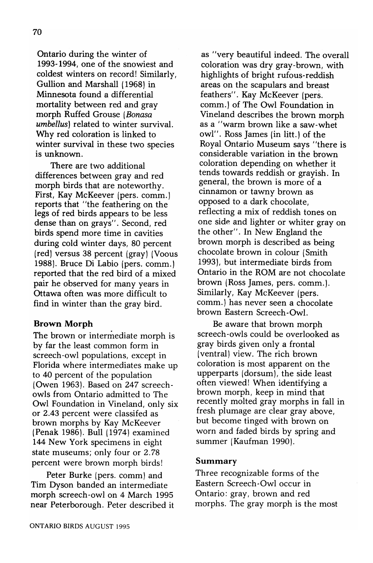Ontario during the winter of 1993-1994, one of the snowiest and coldest winters on record! Similarly, Gullion and Marshall (1968) in Minnesota found a differential mortality between red and gray morph Ruffed Grouse *(Bonasa umbellus)* related to winter survival. Why red coloration is linked to winter survival in these two species is unknown.

There are two additional differences between gray and red morph birds that are noteworthy. First, Kay McKeever (pers. comm.) reports that "the feathering on the legs of red birds appears to be less dense than on grays". Second, red birds spend more time in cavities during cold winter days, 80 percent (red) versus 38 percent (gray) (Voous 1988). Bruce Di Labia (pers. comm.) reported that the red bird of a mixed pair he observed for many years in Ottawa often was more difficult to find in winter than the gray bird.

### Brown Morph

The brown or intermediate morph is by far the least common form in screech-owl populations, except in Florida where intermediates make up to 40 percent of the population (Owen 1963). Based on 247 screechowls from Ontario admitted to The Owl Foundation in Vineland, only six or 2.43 percent were classifed as brown morphs by Kay McKeever (Penak 1986). Bull (1974) examined 144 New York specimens in eight state museums; only four or 2.78 percent were brown morph birds!

Peter Burke (pers. comm) and Tim Dyson banded an intermediate morph screech-owl on 4 March 1995 near Peterborough. Peter described it

as "very beautiful indeed. The overall coloration was dry gray-brown, with highlights of bright rufous-reddish areas on the scapulars and breast feathers". Kay McKeever (pers. comm.) of The Owl Foundation in Vineland describes the brown morph as a "warm brown like a saw-whet owl". Ross James (in litt.) of the Royal Ontario Museum says "there is considerable variation in the brown coloration depending on whether it tends towards reddish or grayish. In general, the brown is more of a cinnamon or tawny brown as opposed to a dark chocolate, reflecting a mix of reddish tones on one side and lighter or whiter gray on the other". In New England the brown morph is described as being chocolate brown in colour (Smith 1993), but intermediate birds from Ontario in the ROM are not chocolate brown (Ross James, pers. comm.). Similarly, Kay McKeever (pers. comm.) has never seen a chocolate brown Eastern Screech-Owl.

Be aware that brown morph screech-owls could be overlooked as gray birds given only a frontal (ventral) view. The rich brown coloration is most apparent on the upperparts (dorsum), the side least often viewed! When identifying a brown morph, keep in mind that recently molted gray morphs in fall in fresh plumage are clear gray above, but become tinged with brown on worn and faded birds by spring and summer (Kaufman 1990).

#### Summary

Three recognizable forms of the Eastern Screech-Owl occur in Ontario: gray, brown and red morphs. The gray morph is the most